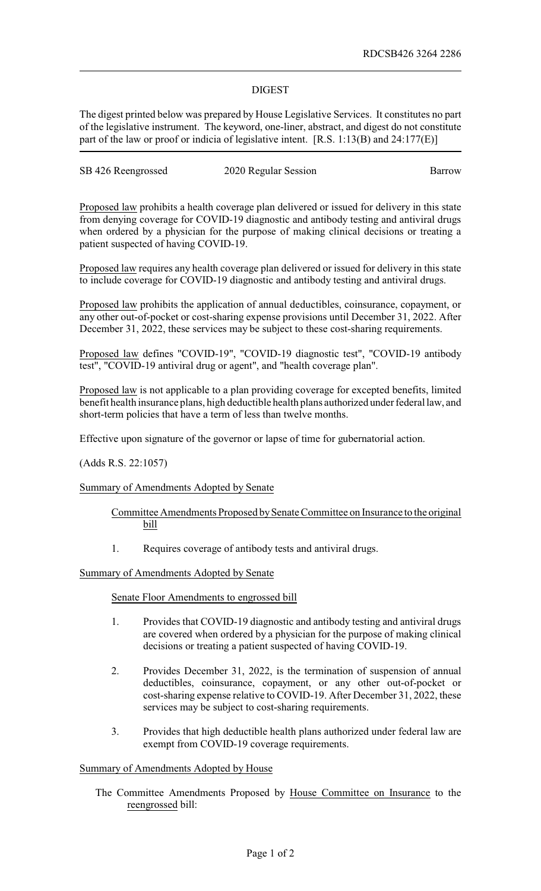# DIGEST

The digest printed below was prepared by House Legislative Services. It constitutes no part of the legislative instrument. The keyword, one-liner, abstract, and digest do not constitute part of the law or proof or indicia of legislative intent. [R.S. 1:13(B) and 24:177(E)]

| SB 426 Reengrossed | 2020 Regular Session | Barrow |
|--------------------|----------------------|--------|
|                    |                      |        |

Proposed law prohibits a health coverage plan delivered or issued for delivery in this state from denying coverage for COVID-19 diagnostic and antibody testing and antiviral drugs when ordered by a physician for the purpose of making clinical decisions or treating a patient suspected of having COVID-19.

Proposed law requires any health coverage plan delivered or issued for delivery in this state to include coverage for COVID-19 diagnostic and antibody testing and antiviral drugs.

Proposed law prohibits the application of annual deductibles, coinsurance, copayment, or any other out-of-pocket or cost-sharing expense provisions until December 31, 2022. After December 31, 2022, these services may be subject to these cost-sharing requirements.

Proposed law defines "COVID-19", "COVID-19 diagnostic test", "COVID-19 antibody test", "COVID-19 antiviral drug or agent", and "health coverage plan".

Proposed law is not applicable to a plan providing coverage for excepted benefits, limited benefit health insurance plans, high deductible health plans authorized under federal law, and short-term policies that have a term of less than twelve months.

Effective upon signature of the governor or lapse of time for gubernatorial action.

(Adds R.S. 22:1057)

### Summary of Amendments Adopted by Senate

- Committee Amendments Proposed bySenate Committee on Insurance to the original bill
- 1. Requires coverage of antibody tests and antiviral drugs.

## Summary of Amendments Adopted by Senate

### Senate Floor Amendments to engrossed bill

- 1. Provides that COVID-19 diagnostic and antibody testing and antiviral drugs are covered when ordered by a physician for the purpose of making clinical decisions or treating a patient suspected of having COVID-19.
- 2. Provides December 31, 2022, is the termination of suspension of annual deductibles, coinsurance, copayment, or any other out-of-pocket or cost-sharing expense relative to COVID-19. After December 31, 2022, these services may be subject to cost-sharing requirements.
- 3. Provides that high deductible health plans authorized under federal law are exempt from COVID-19 coverage requirements.

### Summary of Amendments Adopted by House

The Committee Amendments Proposed by House Committee on Insurance to the reengrossed bill: